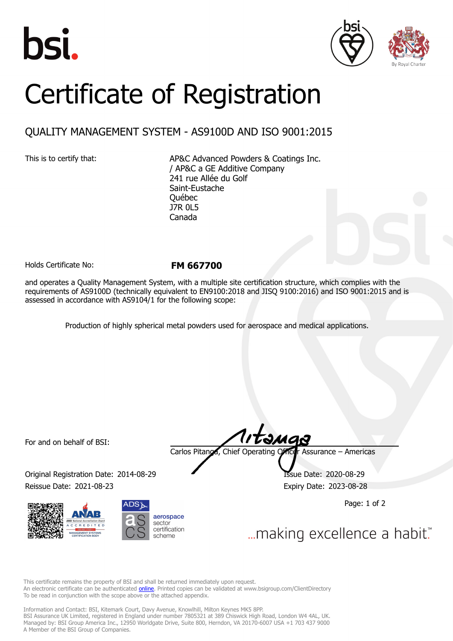





## Certificate of Registration

## QUALITY MANAGEMENT SYSTEM - AS9100D AND ISO 9001:2015

This is to certify that: AP&C Advanced Powders & Coatings Inc. / AP&C a GE Additive Company 241 rue Allée du Golf Saint-Eustache Québec J7R 0L5 Canada

Holds Certificate No: **FM 667700**

and operates a Quality Management System, with a multiple site certification structure, which complies with the requirements of AS9100D (technically equivalent to EN9100:2018 and JISQ 9100:2016) and ISO 9001:2015 and is assessed in accordance with AS9104/1 for the following scope:

Production of highly spherical metal powders used for aerospace and medical applications.

For and on behalf of BSI:

Original Registration Date: 2014-08-29 Issue Date: 2020-08-29 Reissue Date: 2021-08-23 **Expiry Date: 2023-08-28** 





tangs

Carlos Pitanga, Chief Operating Officer Assurance – Americas

Page: 1 of 2

... making excellence a habit."

This certificate remains the property of BSI and shall be returned immediately upon request. An electronic certificate can be authenticated **[online](https://pgplus.bsigroup.com/CertificateValidation/CertificateValidator.aspx?CertificateNumber=FM+667700&ReIssueDate=23%2f08%2f2021&Template=inc)**. Printed copies can be validated at www.bsigroup.com/ClientDirectory To be read in conjunction with the scope above or the attached appendix.

Information and Contact: BSI, Kitemark Court, Davy Avenue, Knowlhill, Milton Keynes MK5 8PP. BSI Assurance UK Limited, registered in England under number 7805321 at 389 Chiswick High Road, London W4 4AL, UK. Managed by: BSI Group America Inc., 12950 Worldgate Drive, Suite 800, Herndon, VA 20170-6007 USA +1 703 437 9000 A Member of the BSI Group of Companies.